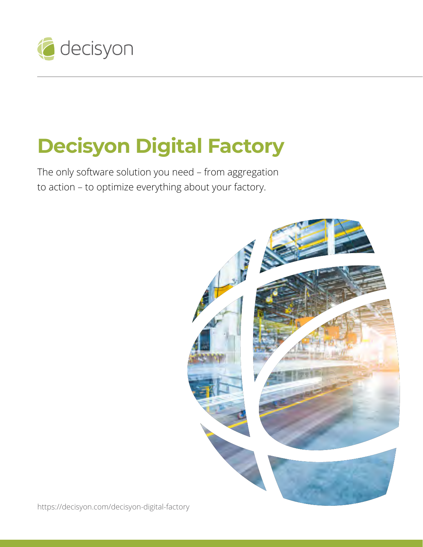

# **Decisyon Digital Factory**

The only software solution you need – from aggregation to action – to optimize everything about your factory.



<https://decisyon.com/decisyon-digital-factory>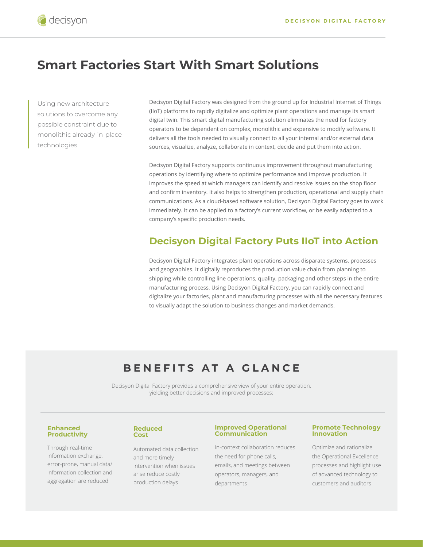# **Smart Factories Start With Smart Solutions**

Using new architecture solutions to overcome any possible constraint due to monolithic already-in-place technologies

Decisyon Digital Factory was designed from the ground up for Industrial Internet of Things (IIoT) platforms to rapidly digitalize and optimize plant operations and manage its smart digital twin. This smart digital manufacturing solution eliminates the need for factory operators to be dependent on complex, monolithic and expensive to modify software. It delivers all the tools needed to visually connect to all your internal and/or external data sources, visualize, analyze, collaborate in context, decide and put them into action.

Decisyon Digital Factory supports continuous improvement throughout manufacturing operations by identifying where to optimize performance and improve production. It improves the speed at which managers can identify and resolve issues on the shop floor and confirm inventory. It also helps to strengthen production, operational and supply chain communications. As a cloud-based software solution, Decisyon Digital Factory goes to work immediately. It can be applied to a factory's current workflow, or be easily adapted to a company's specific production needs.

### **Decisyon Digital Factory Puts IIoT into Action**

Decisyon Digital Factory integrates plant operations across disparate systems, processes and geographies. It digitally reproduces the production value chain from planning to shipping while controlling line operations, quality, packaging and other steps in the entire manufacturing process. Using Decisyon Digital Factory, you can rapidly connect and digitalize your factories, plant and manufacturing processes with all the necessary features to visually adapt the solution to business changes and market demands.

# **BENEFITS AT A GLANCE**

Decisyon Digital Factory provides a comprehensive view of your entire operation, yielding better decisions and improved processes:

#### **Enhanced Productivity**

Through real-time information exchange, error-prone, manual data/ information collection and aggregation are reduced

#### **Reduced Cost**

Automated data collection and more timely intervention when issues arise reduce costly production delays

#### **Improved Operational Communication**

In-context collaboration reduces the need for phone calls, emails, and meetings between operators, managers, and departments

#### **Promote Technology Innovation**

Optimize and rationalize the Operational Excellence processes and highlight use of advanced technology to customers and auditors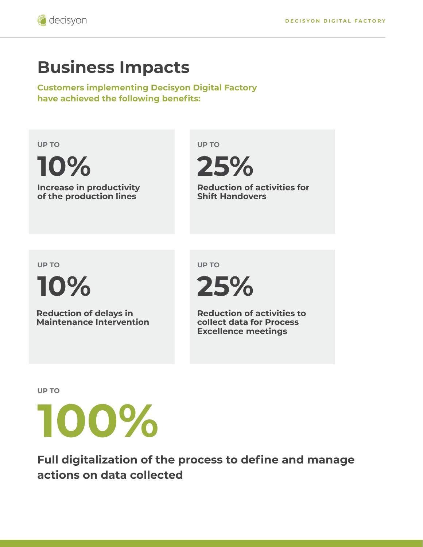# **Business Impacts**

**Customers implementing Decisyon Digital Factory have achieved the following benefits:** 

**UP TO**

**10%**

**Increase in productivity of the production lines**

**UP TO**



**Reduction of activities for Shift Handovers**

**UP TO**

**10%**

**Reduction of delays in Maintenance Intervention** **UP TO**



**Reduction of activities to collect data for Process Excellence meetings**

**UP TO**



**Full digitalization of the process to define and manage actions on data collected**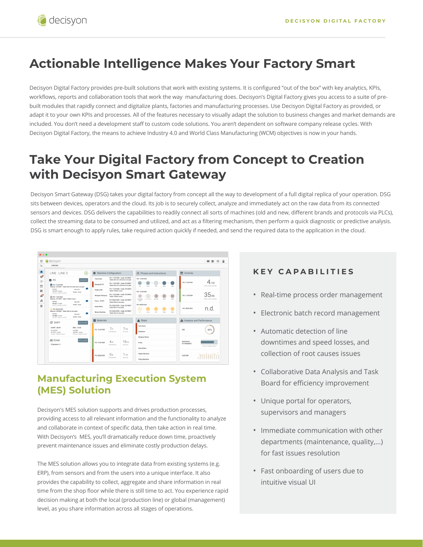# **Actionable Intelligence Makes Your Factory Smart**

Decisyon Digital Factory provides pre-built solutions that work with existing systems. It is configured "out of the box" with key analytics, KPIs, workflows, reports and collaboration tools that work the way manufacturing does. Decisyon's Digital Factory gives you access to a suite of prebuilt modules that rapidly connect and digitalize plants, factories and manufacturing processes. Use Decisyon Digital Factory as provided, or adapt it to your own KPIs and processes. All of the features necessary to visually adapt the solution to business changes and market demands are included. You don't need a development staff to custom code solutions. You aren't dependent on software company release cycles. With Decisyon Digital Factory, the means to achieve Industry 4.0 and World Class Manufacturing (WCM) objectives is now in your hands.

# **Take Your Digital Factory from Concept to Creation with Decisyon Smart Gateway**

Decisyon Smart Gateway (DSG) takes your digital factory from concept all the way to development of a full digital replica of your operation. DSG sits between devices, operators and the cloud. Its job is to securely collect, analyze and immediately act on the raw data from its connected sensors and devices. DSG delivers the capabilities to readily connect all sorts of machines (old and new, different brands and protocols via PLCs), collect the streaming data to be consumed and utilized, and act as a filtering mechanism, then perform a quick diagnostic or predictive analysis. DSG is smart enough to apply rules, take required action quickly if needed, and send the required data to the application in the cloud.



## **Manufacturing Execution System (MES) Solution**

Decisyon's MES solution supports and drives production processes, providing access to all relevant information and the functionality to analyze and collaborate in context of specific data, then take action in real time. With Decisyon's MES, you'll dramatically reduce down time, proactively prevent maintenance issues and eliminate costly production delays.

The MES solution allows you to integrate data from existing systems (e.g. ERP), from sensors and from the users into a unique interface. It also provides the capability to collect, aggregate and share information in real time from the shop floor while there is still time to act. You experience rapid decision making at both the local (production line) or global (management) level, as you share information across all stages of operations.

### **KEY CAPABILITIES**

- Real-time process order management
- Electronic batch record management
- Automatic detection of line downtimes and speed losses, and collection of root causes issues
- Collaborative Data Analysis and Task Board for efficiency improvement
- Unique portal for operators, supervisors and managers
- Immediate communication with other departments (maintenance, quality,...) for fast issues resolution
- Fast onboarding of users due to intuitive visual UI